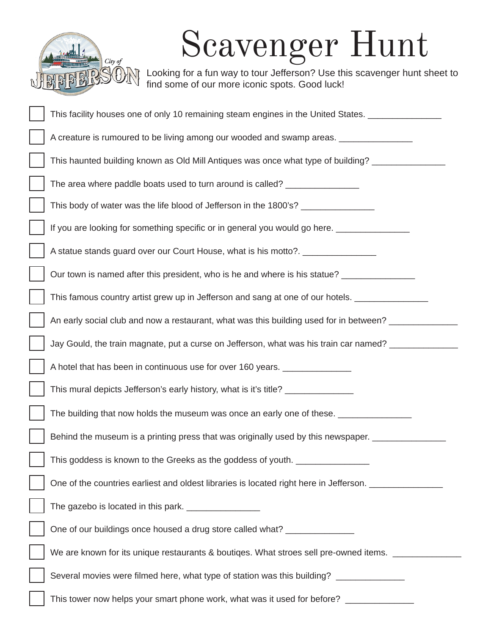

## Scavenger Hunt

Looking for a fun way to tour Jefferson? Use this scavenger hunt sheet to find some of our more iconic spots. Good luck!

| This facility houses one of only 10 remaining steam engines in the United States.      |
|----------------------------------------------------------------------------------------|
| A creature is rumoured to be living among our wooded and swamp areas.                  |
| This haunted building known as Old Mill Antiques was once what type of building?       |
| The area where paddle boats used to turn around is called?                             |
| This body of water was the life blood of Jefferson in the 1800's?                      |
| If you are looking for something specific or in general you would go here.             |
| A statue stands guard over our Court House, what is his motto?.                        |
| Our town is named after this president, who is he and where is his statue?             |
| This famous country artist grew up in Jefferson and sang at one of our hotels.         |
| An early social club and now a restaurant, what was this building used for in between? |
| Jay Gould, the train magnate, put a curse on Jefferson, what was his train car named?  |
| A hotel that has been in continuous use for over 160 years.                            |
| This mural depicts Jefferson's early history, what is it's title?                      |
| The building that now holds the museum was once an early one of these.                 |
| Behind the museum is a printing press that was originally used by this newspaper.      |
| This goddess is known to the Greeks as the goddess of youth.                           |
| One of the countries earliest and oldest libraries is located right here in Jefferson. |
|                                                                                        |
| One of our buildings once housed a drug store called what?                             |
| We are known for its unique restaurants & boutiqes. What stroes sell pre-owned items.  |
| Several movies were filmed here, what type of station was this building? _____________ |
| This tower now helps your smart phone work, what was it used for before?               |